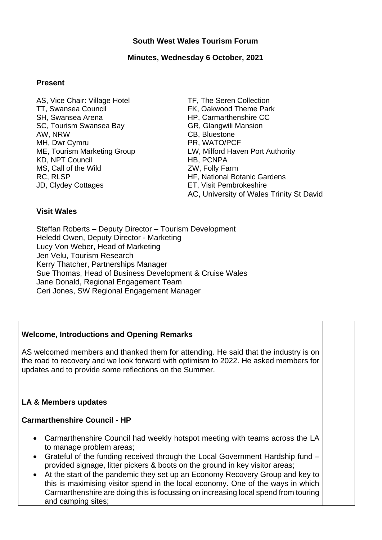### **South West Wales Tourism Forum**

### **Minutes, Wednesday 6 October, 2021**

#### **Present**

- AS, Vice Chair: Village Hotel TT, Swansea Council SH, Swansea Arena SC, Tourism Swansea Bay AW, NRW MH, Dwr Cymru ME, Tourism Marketing Group KD, NPT Council MS, Call of the Wild RC, RLSP JD, Clydey Cottages
- TF, The Seren Collection FK, Oakwood Theme Park HP, Carmarthenshire CC GR, Glangwili Mansion CB, Bluestone PR, WATO/PCF LW, Milford Haven Port Authority HB, PCNPA ZW, Folly Farm HF, National Botanic Gardens ET, Visit Pembrokeshire AC, University of Wales Trinity St David

#### **Visit Wales**

Steffan Roberts – Deputy Director – Tourism Development Heledd Owen, Deputy Director - Marketing Lucy Von Weber, Head of Marketing Jen Velu, Tourism Research Kerry Thatcher, Partnerships Manager Sue Thomas, Head of Business Development & Cruise Wales Jane Donald, Regional Engagement Team Ceri Jones, SW Regional Engagement Manager

#### **Welcome, Introductions and Opening Remarks**

AS welcomed members and thanked them for attending. He said that the industry is on the road to recovery and we look forward with optimism to 2022. He asked members for updates and to provide some reflections on the Summer.

#### **LA & Members updates**

#### **Carmarthenshire Council - HP**

- Carmarthenshire Council had weekly hotspot meeting with teams across the LA to manage problem areas;
- Grateful of the funding received through the Local Government Hardship fund provided signage, litter pickers & boots on the ground in key visitor areas;
- At the start of the pandemic they set up an Economy Recovery Group and key to this is maximising visitor spend in the local economy. One of the ways in which Carmarthenshire are doing this is focussing on increasing local spend from touring and camping sites;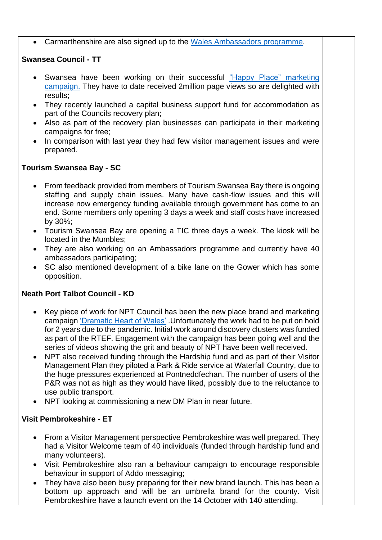Carmarthenshire are also signed up to the [Wales Ambassadors programme.](http://www.ambassador.wales/)

## **Swansea Council - TT**

- Swansea have been working on their successful "Happy Place" marketing [campaign.](https://www.visitswanseabay.com/) They have to date received 2million page views so are delighted with results;
- They recently launched a capital business support fund for accommodation as part of the Councils recovery plan;
- Also as part of the recovery plan businesses can participate in their marketing campaigns for free;
- In comparison with last year they had few visitor management issues and were prepared.

# **Tourism Swansea Bay - SC**

- From feedback provided from members of Tourism Swansea Bay there is ongoing staffing and supply chain issues. Many have cash-flow issues and this will increase now emergency funding available through government has come to an end. Some members only opening 3 days a week and staff costs have increased by 30%;
- Tourism Swansea Bay are opening a TIC three days a week. The kiosk will be located in the Mumbles;
- They are also working on an Ambassadors programme and currently have 40 ambassadors participating;
- SC also mentioned development of a bike lane on the Gower which has some opposition.

# **Neath Port Talbot Council - KD**

- Key piece of work for NPT Council has been the new place brand and marketing campaign ['Dramatic Heart of Wales'](https://dramaticheart.wales/) .Unfortunately the work had to be put on hold for 2 years due to the pandemic. Initial work around discovery clusters was funded as part of the RTEF. Engagement with the campaign has been going well and the series of videos showing the grit and beauty of NPT have been well received.
- NPT also received funding through the Hardship fund and as part of their Visitor Management Plan they piloted a Park & Ride service at Waterfall Country, due to the huge pressures experienced at Pontneddfechan. The number of users of the P&R was not as high as they would have liked, possibly due to the reluctance to use public transport.
- NPT looking at commissioning a new DM Plan in near future.

# **Visit Pembrokeshire - ET**

- From a Visitor Management perspective Pembrokeshire was well prepared. They had a Visitor Welcome team of 40 individuals (funded through hardship fund and many volunteers).
- Visit Pembrokeshire also ran a behaviour campaign to encourage responsible behaviour in support of Addo messaging;
- They have also been busy preparing for their new brand launch. This has been a bottom up approach and will be an umbrella brand for the county. Visit Pembrokeshire have a launch event on the 14 October with 140 attending.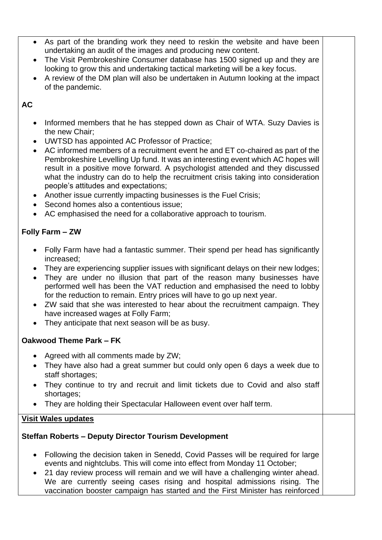- As part of the branding work they need to reskin the website and have been undertaking an audit of the images and producing new content.
- The Visit Pembrokeshire Consumer database has 1500 signed up and they are looking to grow this and undertaking tactical marketing will be a key focus.
- A review of the DM plan will also be undertaken in Autumn looking at the impact of the pandemic.

# **AC**

- Informed members that he has stepped down as Chair of WTA. Suzy Davies is the new Chair;
- UWTSD has appointed AC Professor of Practice;
- AC informed members of a recruitment event he and ET co-chaired as part of the Pembrokeshire Levelling Up fund. It was an interesting event which AC hopes will result in a positive move forward. A psychologist attended and they discussed what the industry can do to help the recruitment crisis taking into consideration people's attitudes and expectations;
- Another issue currently impacting businesses is the Fuel Crisis;
- Second homes also a contentious issue;
- AC emphasised the need for a collaborative approach to tourism.

# **Folly Farm – ZW**

- Folly Farm have had a fantastic summer. Their spend per head has significantly increased;
- They are experiencing supplier issues with significant delays on their new lodges;
- They are under no illusion that part of the reason many businesses have performed well has been the VAT reduction and emphasised the need to lobby for the reduction to remain. Entry prices will have to go up next year.
- ZW said that she was interested to hear about the recruitment campaign. They have increased wages at Folly Farm;
- They anticipate that next season will be as busy.

# **Oakwood Theme Park – FK**

- Agreed with all comments made by ZW;
- They have also had a great summer but could only open 6 days a week due to staff shortages;
- They continue to try and recruit and limit tickets due to Covid and also staff shortages;
- They are holding their Spectacular Halloween event over half term.

# **Visit Wales updates**

# **Steffan Roberts – Deputy Director Tourism Development**

- Following the decision taken in Senedd, Covid Passes will be required for large events and nightclubs. This will come into effect from Monday 11 October;
- 21 day review process will remain and we will have a challenging winter ahead. We are currently seeing cases rising and hospital admissions rising. The vaccination booster campaign has started and the First Minister has reinforced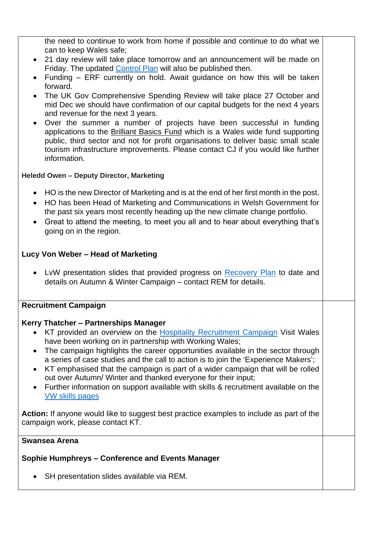the need to continue to work from home if possible and continue to do what we can to keep Wales safe;

- 21 day review will take place tomorrow and an announcement will be made on Friday. The updated [Control Plan](https://gov.wales/sites/default/files/publications/2021-10/coronavirus-control-plan-autumn-and-winter-2021-update.pdf) will also be published then.
- Funding ERF currently on hold. Await guidance on how this will be taken forward.
- The UK Gov Comprehensive Spending Review will take place 27 October and mid Dec we should have confirmation of our capital budgets for the next 4 years and revenue for the next 3 years.
- Over the summer a number of projects have been successful in funding applications to the [Brilliant Basics Fund](https://gov.wales/brilliant-basics-delivering-memorable-experiences) which is a Wales wide fund supporting public, third sector and not for profit organisations to deliver basic small scale tourism infrastructure improvements. Please contact CJ if you would like further information.

### **Heledd Owen – Deputy Director, Marketing**

- HO is the new Director of Marketing and is at the end of her first month in the post.
- HO has been Head of Marketing and Communications in Welsh Government for the past six years most recently heading up the new climate change portfolio.
- Great to attend the meeting, to meet you all and to hear about everything that's going on in the region.

## **Lucy Von Weber – Head of Marketing**

• LvW presentation slides that provided progress on [Recovery Plan](https://gov.wales/sites/default/files/publications/2021-03/lets-shape-the-future_0.pdf) to date and details on Autumn & Winter Campaign – contact REM for details.

## **Recruitment Campaign**

## **Kerry Thatcher – Partnerships Manager**

- KT provided an overview on the [Hospitality Recruitment Campaign](https://workingwales.gov.wales/change-your-story/work-in-hospitality-and-tourism) Visit Wales have been working on in partnership with Working Wales;
- The campaign highlights the career opportunities available in the sector through a series of case studies and the call to action is to join the 'Experience Makers';
- KT emphasised that the campaign is part of a wider campaign that will be rolled out over Autumn/ Winter and thanked everyone for their input;
- Further information on support available with skills & recruitment available on the [VW skills pages](https://businesswales.gov.wales/tourism/skills-recruitment)

**Action:** If anyone would like to suggest best practice examples to include as part of the campaign work, please contact KT.

#### **Swansea Arena**

## **Sophie Humphreys – Conference and Events Manager**

SH presentation slides available via REM.